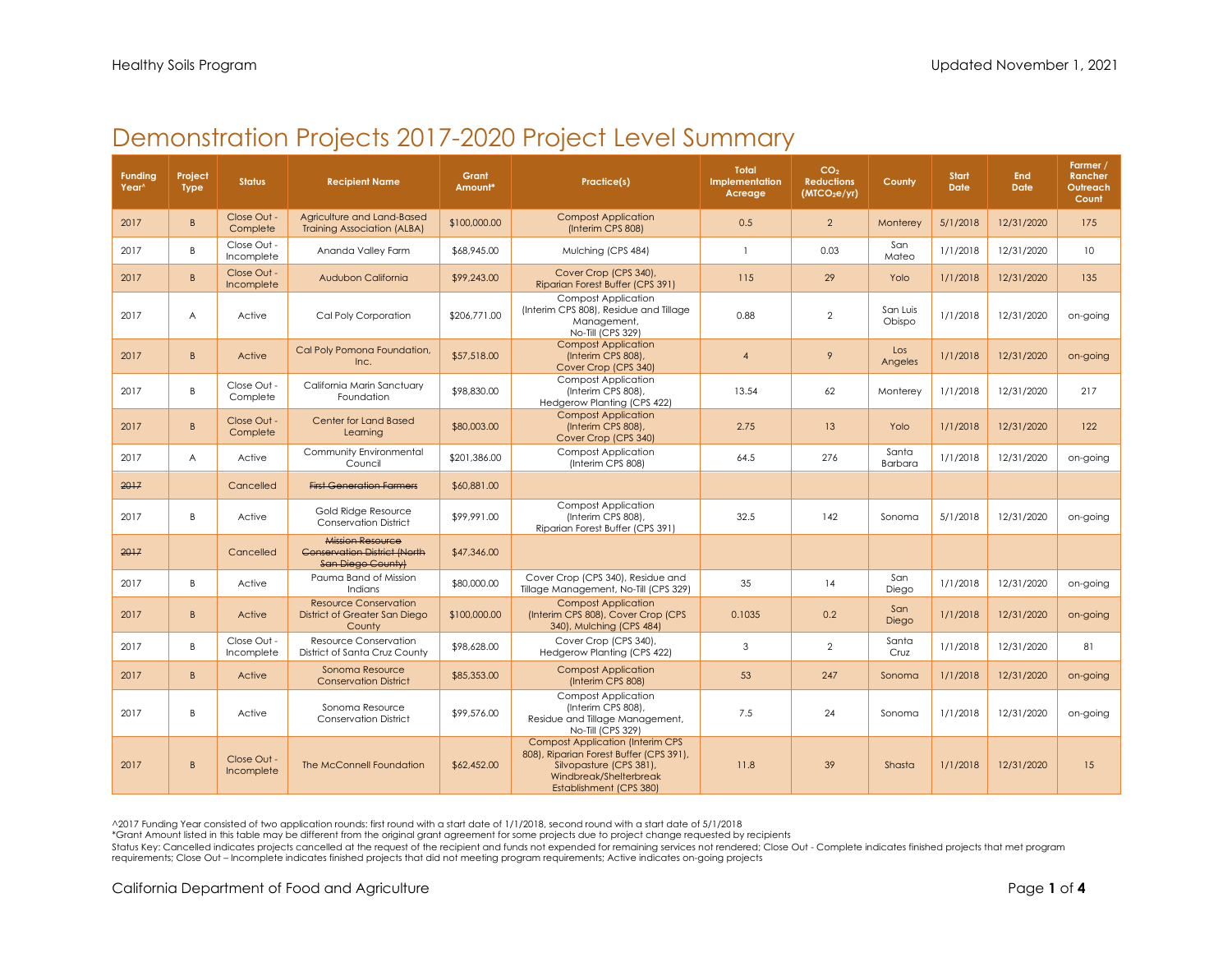## Demonstration Projects 2017-2020 Project Level Summary

| <b>Funding</b><br>Year^ | Project<br><b>Type</b> | <b>Status</b>             | <b>Recipient Name</b>                                                               | Grant<br>Amount* | <b>Practice(s)</b>                                                                                                                                                 | <b>Total</b><br>Implementation<br>Acreage | CO <sub>2</sub><br><b>Reductions</b><br>(MICO <sub>2</sub> e/yr) | County             | <b>Start</b><br><b>Date</b> | <b>End</b><br><b>Date</b> | Farmer /<br>Rancher<br>Outreach<br>Count |
|-------------------------|------------------------|---------------------------|-------------------------------------------------------------------------------------|------------------|--------------------------------------------------------------------------------------------------------------------------------------------------------------------|-------------------------------------------|------------------------------------------------------------------|--------------------|-----------------------------|---------------------------|------------------------------------------|
| 2017                    | B.                     | Close Out -<br>Complete   | Agriculture and Land-Based<br><b>Training Association (ALBA)</b>                    | \$100,000.00     | <b>Compost Application</b><br>(Interim CPS 808)                                                                                                                    | 0.5                                       | $\overline{2}$                                                   | Monterey           | 5/1/2018                    | 12/31/2020                | 175                                      |
| 2017                    | B                      | Close Out -<br>Incomplete | Ananda Valley Farm                                                                  | \$68,945.00      | Mulching (CPS 484)                                                                                                                                                 | $\mathbf{1}$                              | 0.03                                                             | San<br>Mateo       | 1/1/2018                    | 12/31/2020                | 10 <sup>°</sup>                          |
| 2017                    | B.                     | Close Out -<br>Incomplete | Audubon California                                                                  | \$99,243.00      | Cover Crop (CPS 340),<br>Riparian Forest Buffer (CPS 391)                                                                                                          | 115                                       | 29                                                               | Yolo               | 1/1/2018                    | 12/31/2020                | 135                                      |
| 2017                    | Α                      | Active                    | Cal Poly Corporation                                                                | \$206,771.00     | <b>Compost Application</b><br>(Interim CPS 808), Residue and Tillage<br>Management,<br>No-Till (CPS 329)                                                           | 0.88                                      | $\mathbf{2}$                                                     | San Luis<br>Obispo | 1/1/2018                    | 12/31/2020                | on-going                                 |
| 2017                    | B.                     | Active                    | Cal Poly Pomona Foundation,<br>Inc.                                                 | \$57,518.00      | <b>Compost Application</b><br>(Interim CPS 808),<br>Cover Crop (CPS 340)                                                                                           | $\boldsymbol{\Lambda}$                    | 9                                                                | Los<br>Angeles     | 1/1/2018                    | 12/31/2020                | on-going                                 |
| 2017                    | B                      | Close Out -<br>Complete   | California Marin Sanctuary<br>Foundation                                            | \$98,830,00      | <b>Compost Application</b><br>(Interim CPS 808).<br>Hedgerow Planting (CPS 422)                                                                                    | 13.54                                     | 62                                                               | Monterev           | 1/1/2018                    | 12/31/2020                | 217                                      |
| 2017                    | B.                     | Close Out -<br>Complete   | Center for Land Based<br>Learning                                                   | \$80,003.00      | <b>Compost Application</b><br>(Interim CPS 808),<br>Cover Crop (CPS 340)                                                                                           | 2.75                                      | 13                                                               | Yolo               | 1/1/2018                    | 12/31/2020                | 122                                      |
| 2017                    | A                      | Active                    | Community Environmental<br>Council                                                  | \$201,386,00     | <b>Compost Application</b><br>(Interim CPS 808)                                                                                                                    | 64.5                                      | 276                                                              | Santa<br>Barbara   | 1/1/2018                    | 12/31/2020                | on-going                                 |
| 2017                    |                        | Cancelled                 | <b>First Generation Farmers</b>                                                     | \$60,881.00      |                                                                                                                                                                    |                                           |                                                                  |                    |                             |                           |                                          |
| 2017                    | B                      | Active                    | Gold Ridge Resource<br><b>Conservation District</b>                                 | \$99,991.00      | <b>Compost Application</b><br>(Interim CPS 808),<br>Riparian Forest Buffer (CPS 391)                                                                               | 32.5                                      | 142                                                              | Sonoma             | 5/1/2018                    | 12/31/2020                | on-going                                 |
| 2017                    |                        | Cancelled                 | Mission Resource<br><b>Conservation District (North</b><br><b>San Diego County)</b> | \$47,346.00      |                                                                                                                                                                    |                                           |                                                                  |                    |                             |                           |                                          |
| 2017                    | B                      | Active                    | Pauma Band of Mission<br>Indians                                                    | \$80,000.00      | Cover Crop (CPS 340), Residue and<br>Tillage Management, No-Till (CPS 329)                                                                                         | 35                                        | 14                                                               | San<br>Diego       | 1/1/2018                    | 12/31/2020                | on-going                                 |
| 2017                    | B.                     | Active                    | <b>Resource Conservation</b><br>District of Greater San Diego<br>County             | \$100,000.00     | <b>Compost Application</b><br>(Interim CPS 808), Cover Crop (CPS<br>340), Mulching (CPS 484)                                                                       | 0.1035                                    | 0.2                                                              | San<br>Diego       | 1/1/2018                    | 12/31/2020                | on-going                                 |
| 2017                    | B                      | Close Out -<br>Incomplete | Resource Conservation<br>District of Santa Cruz County                              | \$98,628.00      | Cover Crop (CPS 340),<br>Hedgerow Planting (CPS 422)                                                                                                               | 3                                         | $\mathbf{2}$                                                     | Santa<br>Cruz      | 1/1/2018                    | 12/31/2020                | 81                                       |
| 2017                    | B.                     | Active                    | Sonoma Resource<br><b>Conservation District</b>                                     | \$85,353.00      | <b>Compost Application</b><br>(Interim CPS 808)                                                                                                                    | 53                                        | 247                                                              | Sonoma             | 1/1/2018                    | 12/31/2020                | on-going                                 |
| 2017                    | B                      | Active                    | Sonoma Resource<br><b>Conservation District</b>                                     | \$99,576.00      | <b>Compost Application</b><br>(Interim CPS 808),<br>Residue and Tillage Management,<br>No-Till (CPS 329)                                                           | 7.5                                       | 24                                                               | Sonoma             | 1/1/2018                    | 12/31/2020                | on-going                                 |
| 2017                    | B                      | Close Out -<br>Incomplete | The McConnell Foundation                                                            | \$62,452.00      | <b>Compost Application (Interim CPS</b><br>808), Riparian Forest Buffer (CPS 391),<br>Silvopasture (CPS 381),<br>Windbreak/Shelterbreak<br>Establishment (CPS 380) | 11.8                                      | 39                                                               | Shasta             | 1/1/2018                    | 12/31/2020                | 15                                       |

^2017 Funding Year consisted of two application rounds: first round with a start date of 1/1/2018, second round with a start date of 5/1/2018

\*Grant Amount listed in this table may be different from the original grant agreement for some projects due to project change requested by recipients

Status Key: Cancelled indicates projects cancelled at the request of the recipient and funds not expended for remaining services not rendered; Close Out - Complete indicates finished projects that met program requirements; Close Out – Incomplete indicates finished projects that did not meeting program requirements; Active indicates on-going projects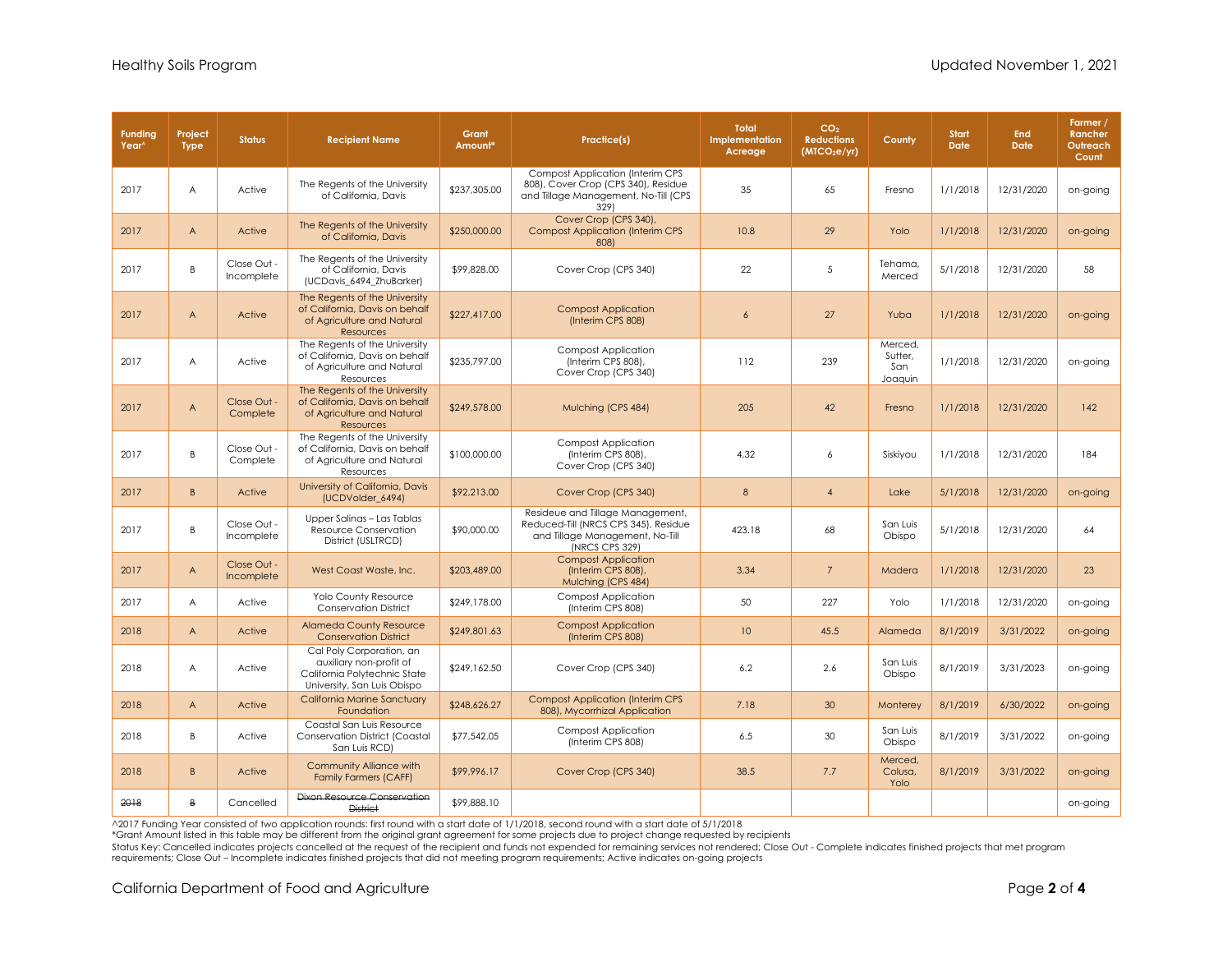| <b>Funding</b><br>Year <sup>^</sup> | Project<br><b>Type</b> | <b>Status</b>             | <b>Recipient Name</b>                                                                                              | Grant<br>Amount* | Practice(s)                                                                                                                    | <b>Total</b><br>Implementation<br>Acreage | CO <sub>2</sub><br><b>Reductions</b><br>(MICO <sub>2</sub> e/yr) | County                               | Start<br><b>Date</b> | <b>End</b><br><b>Date</b> | Farmer /<br>Rancher<br>Outreach<br>Count |
|-------------------------------------|------------------------|---------------------------|--------------------------------------------------------------------------------------------------------------------|------------------|--------------------------------------------------------------------------------------------------------------------------------|-------------------------------------------|------------------------------------------------------------------|--------------------------------------|----------------------|---------------------------|------------------------------------------|
| 2017                                | A                      | Active                    | The Regents of the University<br>of California, Davis                                                              | \$237,305.00     | <b>Compost Application (Interim CPS</b><br>808), Cover Crop (CPS 340), Residue<br>and Tillage Management, No-Till (CPS<br>329) | 35                                        | 65                                                               | Fresno                               | 1/1/2018             | 12/31/2020                | on-going                                 |
| 2017                                | A                      | Active                    | The Regents of the University<br>of California, Davis                                                              | \$250,000.00     | Cover Crop (CPS 340),<br><b>Compost Application (Interim CPS</b><br>808)                                                       | 10.8                                      | 29                                                               | Yolo                                 | 1/1/2018             | 12/31/2020                | on-going                                 |
| 2017                                | B                      | Close Out -<br>Incomplete | The Regents of the University<br>of California, Davis<br>(UCDavis_6494_ZhuBarker)                                  | \$99,828.00      | Cover Crop (CPS 340)                                                                                                           | 22                                        | 5                                                                | Tehama,<br>Merced                    | 5/1/2018             | 12/31/2020                | 58                                       |
| 2017                                | A                      | Active                    | The Regents of the University<br>of California, Davis on behalf<br>of Agriculture and Natural<br><b>Resources</b>  | \$227,417.00     | <b>Compost Application</b><br>(Interim CPS 808)                                                                                | $\overline{6}$                            | 27                                                               | Yuba                                 | 1/1/2018             | 12/31/2020                | on-going                                 |
| 2017                                | A                      | Active                    | The Regents of the University<br>of California, Davis on behalf<br>of Agriculture and Natural<br>Resources         | \$235,797.00     | <b>Compost Application</b><br>(Interim CPS 808),<br>Cover Crop (CPS 340)                                                       | 112                                       | 239                                                              | Merced.<br>Sutter,<br>San<br>Joaquin | 1/1/2018             | 12/31/2020                | on-going                                 |
| 2017                                | A                      | Close Out -<br>Complete   | The Regents of the University<br>of California, Davis on behalf<br>of Agriculture and Natural<br><b>Resources</b>  | \$249,578.00     | Mulching (CPS 484)                                                                                                             | 205                                       | 42                                                               | Fresno                               | 1/1/2018             | 12/31/2020                | 142                                      |
| 2017                                | B                      | Close Out -<br>Complete   | The Regents of the University<br>of California, Davis on behalf<br>of Agriculture and Natural<br>Resources         | \$100,000.00     | <b>Compost Application</b><br>(Interim CPS 808),<br>Cover Crop (CPS 340)                                                       | 4.32                                      | 6                                                                | Siskiyou                             | 1/1/2018             | 12/31/2020                | 184                                      |
| 2017                                | B                      | Active                    | University of California, Davis<br>(UCDVolder 6494)                                                                | \$92,213.00      | Cover Crop (CPS 340)                                                                                                           | 8                                         | $\overline{4}$                                                   | Lake                                 | 5/1/2018             | 12/31/2020                | on-going                                 |
| 2017                                | B                      | Close Out -<br>Incomplete | Upper Salinas - Las Tablas<br>Resource Conservation<br>District (USLTRCD)                                          | \$90,000.00      | Resideue and Tillage Management,<br>Reduced-Till (NRCS CPS 345), Residue<br>and Tillage Management, No-Till<br>(NRCS CPS 329)  | 423.18                                    | 68                                                               | San Luis<br>Obispo                   | 5/1/2018             | 12/31/2020                | 64                                       |
| 2017                                | A                      | Close Out -<br>Incomplete | West Coast Waste, Inc.                                                                                             | \$203,489,00     | <b>Compost Application</b><br>(Interim CPS 808),<br>Mulching (CPS 484)                                                         | 3.34                                      | $\overline{7}$                                                   | Madera                               | 1/1/2018             | 12/31/2020                | 23                                       |
| 2017                                | A                      | Active                    | Yolo County Resource<br><b>Conservation District</b>                                                               | \$249,178.00     | <b>Compost Application</b><br>(Interim CPS 808)                                                                                | 50                                        | 227                                                              | Yolo                                 | 1/1/2018             | 12/31/2020                | on-going                                 |
| 2018                                | $\overline{A}$         | Active                    | <b>Alameda County Resource</b><br><b>Conservation District</b>                                                     | \$249,801.63     | <b>Compost Application</b><br>(Interim CPS 808)                                                                                | 10 <sup>°</sup>                           | 45.5                                                             | Alameda                              | 8/1/2019             | 3/31/2022                 | on-going                                 |
| 2018                                | A                      | Active                    | Cal Poly Corporation, an<br>auxiliary non-profit of<br>California Polytechnic State<br>University, San Luis Obispo | \$249,162.50     | Cover Crop (CPS 340)                                                                                                           | 6.2                                       | 2.6                                                              | San Luis<br>Obispo                   | 8/1/2019             | 3/31/2023                 | on-going                                 |
| 2018                                | $\overline{A}$         | Active                    | California Marine Sanctuary<br>Foundation                                                                          | \$248,626.27     | <b>Compost Application (Interim CPS</b><br>808), Mycorrhizal Application                                                       | 7.18                                      | 30                                                               | Monterey                             | 8/1/2019             | 6/30/2022                 | on-going                                 |
| 2018                                | B                      | Active                    | Coastal San Luis Resource<br><b>Conservation District (Coastal</b><br>San Luis RCD)                                | \$77,542.05      | <b>Compost Application</b><br>(Interim CPS 808)                                                                                | 6.5                                       | 30                                                               | San Luis<br>Obispo                   | 8/1/2019             | 3/31/2022                 | on-going                                 |
| 2018                                | B                      | Active                    | Community Alliance with<br><b>Family Farmers (CAFF)</b>                                                            | \$99,996.17      | Cover Crop (CPS 340)                                                                                                           | 38.5                                      | 7.7                                                              | Merced.<br>Colusa,<br>Yolo           | 8/1/2019             | 3/31/2022                 | on-going                                 |
| 2018                                | B                      | Cancelled                 | <b>Dixon Resource Conservation</b><br><b>District</b>                                                              | \$99,888.10      |                                                                                                                                |                                           |                                                                  |                                      |                      |                           | on-going                                 |

^2017 Funding Year consisted of two application rounds: first round with a start date of 1/1/2018, second round with a start date of 5/1/2018

\*Grant Amount listed in this table may be different from the original grant agreement for some projects due to project change requested by recipients

Status Key: Cancelled indicates projects cancelled at the request of the recipient and funds not expended for remaining services not rendered; Close Out - Complete indicates finished projects that met program<br>requirements;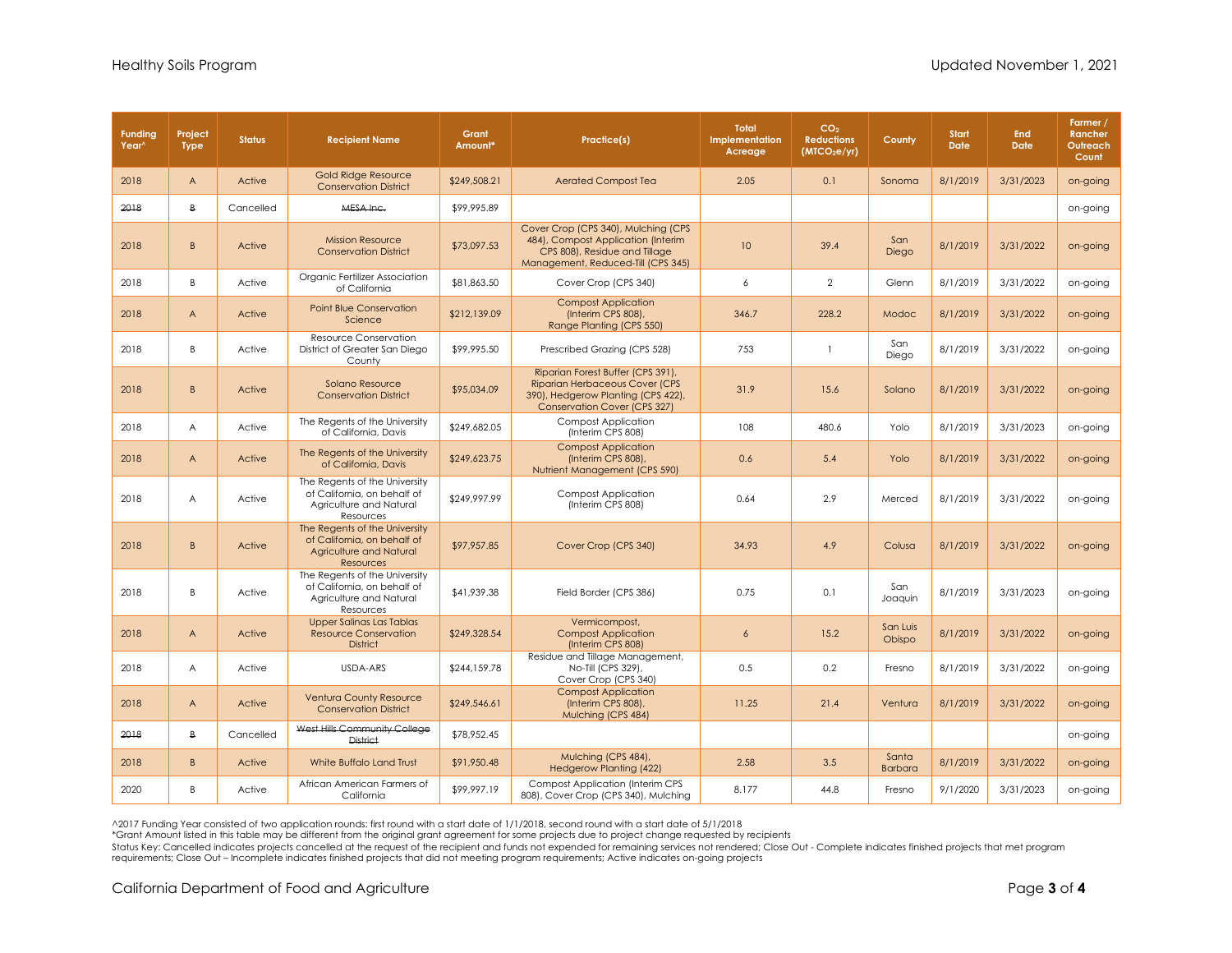| <b>Funding</b><br>Year <sup>^</sup> | Project<br><b>Type</b> | <b>Status</b> | <b>Recipient Name</b>                                                                                       | Grant<br>Amount* | Practice(s)                                                                                                                                             | <b>Total</b><br>Implementation<br>Acreage | CO <sub>2</sub><br><b>Reductions</b><br>(MICO <sub>2</sub> e/yr) | County                  | <b>Start</b><br><b>Date</b> | <b>End</b><br><b>Date</b> | Farmer /<br>Rancher<br>Outreach<br>Count |
|-------------------------------------|------------------------|---------------|-------------------------------------------------------------------------------------------------------------|------------------|---------------------------------------------------------------------------------------------------------------------------------------------------------|-------------------------------------------|------------------------------------------------------------------|-------------------------|-----------------------------|---------------------------|------------------------------------------|
| 2018                                | $\overline{A}$         | Active        | <b>Gold Ridge Resource</b><br><b>Conservation District</b>                                                  | \$249,508.21     | <b>Aerated Compost Tea</b>                                                                                                                              | 2.05                                      | 0.1                                                              | Sonoma                  | 8/1/2019                    | 3/31/2023                 | on-going                                 |
| 2018                                | $\overline{B}$         | Cancelled     | MESA Inc.                                                                                                   | \$99,995.89      |                                                                                                                                                         |                                           |                                                                  |                         |                             |                           | on-going                                 |
| 2018                                | $\overline{B}$         | Active        | <b>Mission Resource</b><br><b>Conservation District</b>                                                     | \$73,097.53      | Cover Crop (CPS 340), Mulching (CPS<br>484), Compost Application (Interim<br>CPS 808), Residue and Tillage<br>Management, Reduced-Till (CPS 345)        | 10                                        | 39.4                                                             | San<br>Diego            | 8/1/2019                    | 3/31/2022                 | on-going                                 |
| 2018                                | B                      | Active        | Organic Fertilizer Association<br>of California                                                             | \$81,863.50      | Cover Crop (CPS 340)                                                                                                                                    | 6                                         | $\mathbf{2}$                                                     | Glenn                   | 8/1/2019                    | 3/31/2022                 | on-going                                 |
| 2018                                | A                      | Active        | <b>Point Blue Conservation</b><br>Science                                                                   | \$212,139.09     | <b>Compost Application</b><br>(Interim CPS 808),<br>Range Planting (CPS 550)                                                                            | 346.7                                     | 228.2                                                            | Modoc                   | 8/1/2019                    | 3/31/2022                 | on-going                                 |
| 2018                                | B.                     | Active        | Resource Conservation<br>District of Greater San Diego<br>County                                            | \$99,995.50      | Prescribed Grazing (CPS 528)                                                                                                                            | 753                                       | $\mathbf{1}$                                                     | San<br>Diego            | 8/1/2019                    | 3/31/2022                 | on-going                                 |
| 2018                                | B.                     | Active        | Solano Resource<br><b>Conservation District</b>                                                             | \$95,034.09      | Riparian Forest Buffer (CPS 391),<br><b>Riparian Herbaceous Cover (CPS</b><br>390), Hedgerow Planting (CPS 422),<br><b>Conservation Cover (CPS 327)</b> | 31.9                                      | 15.6                                                             | Solano                  | 8/1/2019                    | 3/31/2022                 | on-going                                 |
| 2018                                | A                      | Active        | The Regents of the University<br>of California, Davis                                                       | \$249,682.05     | Compost Application<br>(Interim CPS 808)                                                                                                                | 108                                       | 480.6                                                            | Yolo                    | 8/1/2019                    | 3/31/2023                 | on-going                                 |
| 2018                                | $\mathsf{A}$           | Active        | The Regents of the University<br>of California, Davis                                                       | \$249,623.75     | <b>Compost Application</b><br>(Interim CPS 808),<br>Nutrient Management (CPS 590)                                                                       | 0.6                                       | 5.4                                                              | Yolo                    | 8/1/2019                    | 3/31/2022                 | on-going                                 |
| 2018                                | A                      | Active        | The Regents of the University<br>of California, on behalf of<br>Agriculture and Natural<br>Resources        | \$249,997.99     | <b>Compost Application</b><br>(Interim CPS 808)                                                                                                         | 0.64                                      | 2.9                                                              | Merced                  | 8/1/2019                    | 3/31/2022                 | on-going                                 |
| 2018                                | B                      | Active        | The Regents of the University<br>of California, on behalf of<br>Agriculture and Natural<br><b>Resources</b> | \$97,957.85      | Cover Crop (CPS 340)                                                                                                                                    | 34.93                                     | 4.9                                                              | Colusa                  | 8/1/2019                    | 3/31/2022                 | on-going                                 |
| 2018                                | B                      | Active        | The Regents of the University<br>of California, on behalf of<br>Agriculture and Natural<br>Resources        | \$41,939.38      | Field Border (CPS 386)                                                                                                                                  | 0.75                                      | 0.1                                                              | San<br>Joaquin          | 8/1/2019                    | 3/31/2023                 | on-going                                 |
| 2018                                | A                      | Active        | <b>Upper Salinas Las Tablas</b><br><b>Resource Conservation</b><br><b>District</b>                          | \$249,328.54     | Vermicompost,<br><b>Compost Application</b><br>(Interim CPS 808)                                                                                        | $\overline{6}$                            | 15.2                                                             | San Luis<br>Obispo      | 8/1/2019                    | 3/31/2022                 | on-going                                 |
| 2018                                | A                      | Active        | USDA-ARS                                                                                                    | \$244,159,78     | Residue and Tillage Management,<br>No-Till (CPS 329),<br>Cover Crop (CPS 340)                                                                           | 0.5                                       | 0.2                                                              | Fresno                  | 8/1/2019                    | 3/31/2022                 | on-going                                 |
| 2018                                | A                      | Active        | <b>Ventura County Resource</b><br><b>Conservation District</b>                                              | \$249,546.61     | <b>Compost Application</b><br>(Interim CPS 808),<br>Mulching (CPS 484)                                                                                  | 11.25                                     | 21.4                                                             | Ventura                 | 8/1/2019                    | 3/31/2022                 | on-going                                 |
| 2018                                | $\overline{B}$         | Cancelled     | West Hills Community College<br><b>District</b>                                                             | \$78,952.45      |                                                                                                                                                         |                                           |                                                                  |                         |                             |                           | on-going                                 |
| 2018                                | B                      | Active        | White Buffalo Land Trust                                                                                    | \$91,950.48      | Mulching (CPS 484),<br><b>Hedgerow Planting (422)</b>                                                                                                   | 2.58                                      | 3.5                                                              | Santa<br><b>Barbara</b> | 8/1/2019                    | 3/31/2022                 | on-going                                 |
| 2020                                | B                      | Active        | African American Farmers of<br>California                                                                   | \$99,997.19      | <b>Compost Application (Interim CPS</b><br>808), Cover Crop (CPS 340), Mulching                                                                         | 8.177                                     | 44.8                                                             | Fresno                  | 9/1/2020                    | 3/31/2023                 | on-going                                 |

^2017 Funding Year consisted of two application rounds: first round with a start date of 1/1/2018, second round with a start date of 5/1/2018

\*Grant Amount listed in this table may be different from the original grant agreement for some projects due to project change requested by recipients<br>Status Key: Cancelled indicates projects cancelled at the recipient of t